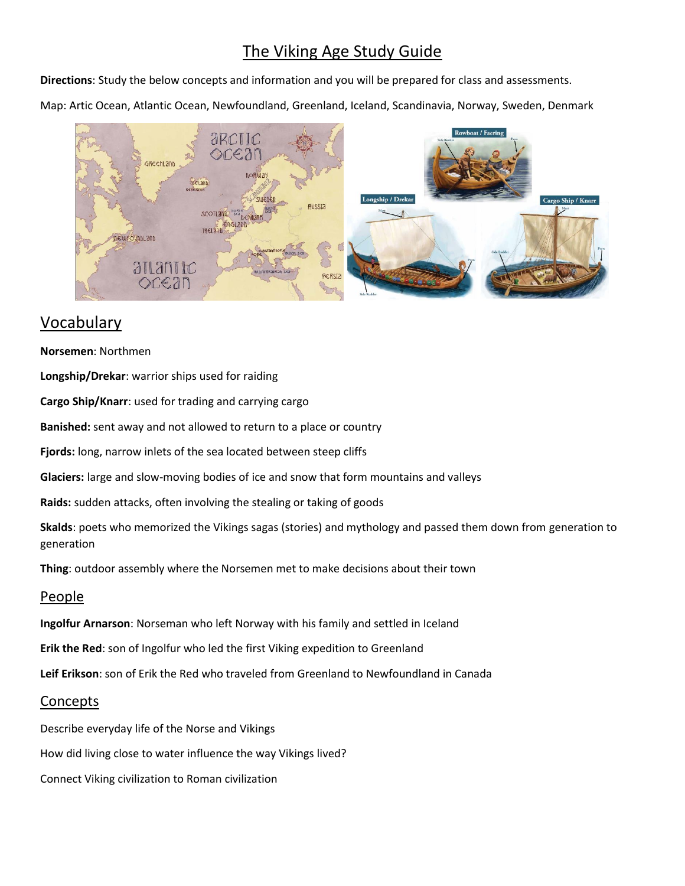# The Viking Age Study Guide

**Directions**: Study the below concepts and information and you will be prepared for class and assessments.

Map: Artic Ocean, Atlantic Ocean, Newfoundland, Greenland, Iceland, Scandinavia, Norway, Sweden, Denmark



## Vocabulary

**Norsemen**: Northmen

**Longship/Drekar**: warrior ships used for raiding

**Cargo Ship/Knarr**: used for trading and carrying cargo

**Banished:** sent away and not allowed to return to a place or country

**Fjords:** long, narrow inlets of the sea located between steep cliffs

**Glaciers:** large and slow-moving bodies of ice and snow that form mountains and valleys

**Raids:** sudden attacks, often involving the stealing or taking of goods

**Skalds**: poets who memorized the Vikings sagas (stories) and mythology and passed them down from generation to generation

**Thing**: outdoor assembly where the Norsemen met to make decisions about their town

#### People

**Ingolfur Arnarson**: Norseman who left Norway with his family and settled in Iceland

**Erik the Red**: son of Ingolfur who led the first Viking expedition to Greenland

**Leif Erikson**: son of Erik the Red who traveled from Greenland to Newfoundland in Canada

#### Concepts

Describe everyday life of the Norse and Vikings How did living close to water influence the way Vikings lived? Connect Viking civilization to Roman civilization